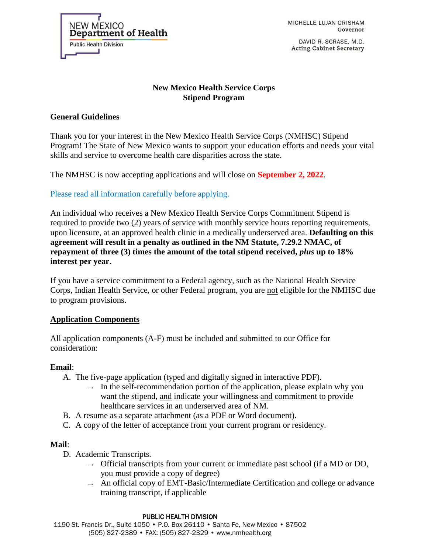NEW MEXICO Department of Health **Public Health Division** 

MICHELLE LUJAN GRISHAM Governor

DAVID R. SCRASE, M.D. **Acting Cabinet Secretary** 

# **New Mexico Health Service Corps Stipend Program**

# **General Guidelines**

Thank you for your interest in the New Mexico Health Service Corps (NMHSC) Stipend Program! The State of New Mexico wants to support your education efforts and needs your vital skills and service to overcome health care disparities across the state.

The NMHSC is now accepting applications and will close on **September 2, 2022**.

Please read all information carefully before applying.

An individual who receives a New Mexico Health Service Corps Commitment Stipend is required to provide two (2) years of service with monthly service hours reporting requirements, upon licensure, at an approved health clinic in a medically underserved area. **Defaulting on this agreement will result in a penalty as outlined in the NM Statute, 7.29.2 NMAC, of repayment of three (3) times the amount of the total stipend received,** *plus* **up to 18% interest per year**.

If you have a service commitment to a Federal agency, such as the National Health Service Corps, Indian Health Service, or other Federal program, you are not eligible for the NMHSC due to program provisions.

## **Application Components**

All application components (A-F) must be included and submitted to our Office for consideration:

## **Email**:

- A. The five-page application (typed and digitally signed in interactive PDF).
	- $\rightarrow$  In the self-recommendation portion of the application, please explain why you want the stipend, and indicate your willingness and commitment to provide healthcare services in an underserved area of NM.
- B. A resume as a separate attachment (as a PDF or Word document).
- C. A copy of the letter of acceptance from your current program or residency.

## **Mail**:

- D. Academic Transcripts.
	- $\rightarrow$  Official transcripts from your current or immediate past school (if a MD or DO, you must provide a copy of degree)
	- $\rightarrow$  An official copy of EMT-Basic/Intermediate Certification and college or advance training transcript, if applicable

#### PUBLIC HEALTH DIVISION